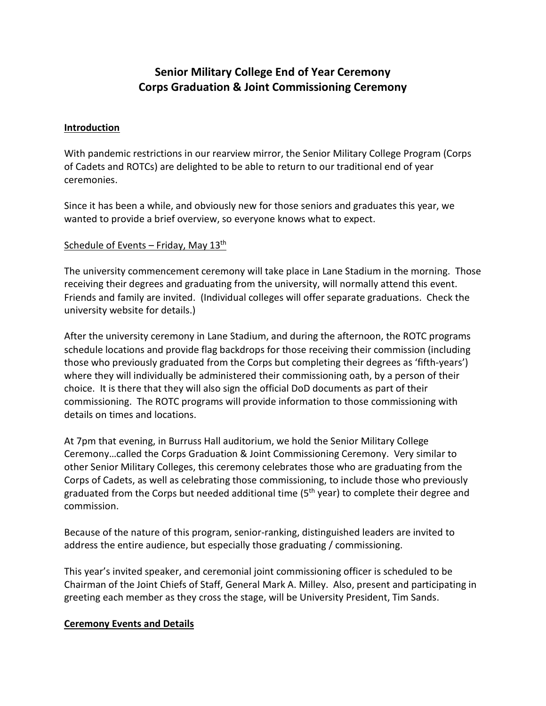# **Senior Military College End of Year Ceremony Corps Graduation & Joint Commissioning Ceremony**

#### **Introduction**

With pandemic restrictions in our rearview mirror, the Senior Military College Program (Corps of Cadets and ROTCs) are delighted to be able to return to our traditional end of year ceremonies.

Since it has been a while, and obviously new for those seniors and graduates this year, we wanted to provide a brief overview, so everyone knows what to expect.

### Schedule of Events – Friday, May  $13<sup>th</sup>$

The university commencement ceremony will take place in Lane Stadium in the morning. Those receiving their degrees and graduating from the university, will normally attend this event. Friends and family are invited. (Individual colleges will offer separate graduations. Check the university website for details.)

After the university ceremony in Lane Stadium, and during the afternoon, the ROTC programs schedule locations and provide flag backdrops for those receiving their commission (including those who previously graduated from the Corps but completing their degrees as 'fifth-years') where they will individually be administered their commissioning oath, by a person of their choice. It is there that they will also sign the official DoD documents as part of their commissioning. The ROTC programs will provide information to those commissioning with details on times and locations.

At 7pm that evening, in Burruss Hall auditorium, we hold the Senior Military College Ceremony…called the Corps Graduation & Joint Commissioning Ceremony. Very similar to other Senior Military Colleges, this ceremony celebrates those who are graduating from the Corps of Cadets, as well as celebrating those commissioning, to include those who previously graduated from the Corps but needed additional time (5<sup>th</sup> year) to complete their degree and commission.

Because of the nature of this program, senior-ranking, distinguished leaders are invited to address the entire audience, but especially those graduating / commissioning.

This year's invited speaker, and ceremonial joint commissioning officer is scheduled to be Chairman of the Joint Chiefs of Staff, General Mark A. Milley. Also, present and participating in greeting each member as they cross the stage, will be University President, Tim Sands.

#### **Ceremony Events and Details**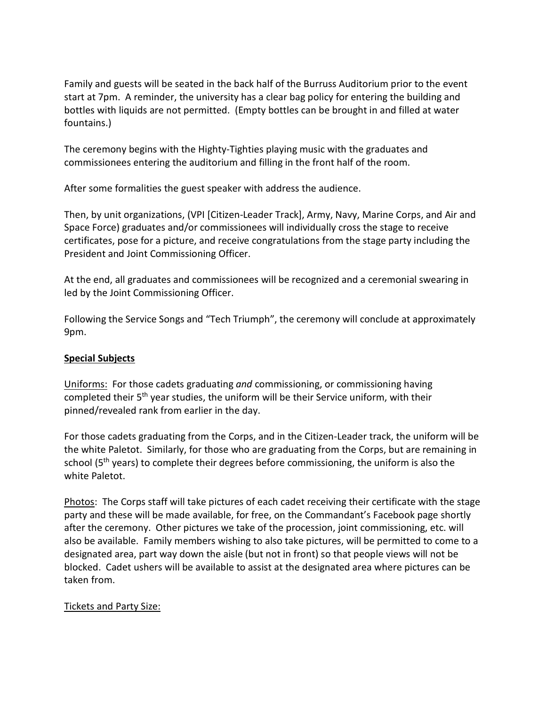Family and guests will be seated in the back half of the Burruss Auditorium prior to the event start at 7pm. A reminder, the university has a clear bag policy for entering the building and bottles with liquids are not permitted. (Empty bottles can be brought in and filled at water fountains.)

The ceremony begins with the Highty-Tighties playing music with the graduates and commissionees entering the auditorium and filling in the front half of the room.

After some formalities the guest speaker with address the audience.

Then, by unit organizations, (VPI [Citizen-Leader Track], Army, Navy, Marine Corps, and Air and Space Force) graduates and/or commissionees will individually cross the stage to receive certificates, pose for a picture, and receive congratulations from the stage party including the President and Joint Commissioning Officer.

At the end, all graduates and commissionees will be recognized and a ceremonial swearing in led by the Joint Commissioning Officer.

Following the Service Songs and "Tech Triumph", the ceremony will conclude at approximately 9pm.

## **Special Subjects**

Uniforms: For those cadets graduating *and* commissioning, or commissioning having completed their 5<sup>th</sup> year studies, the uniform will be their Service uniform, with their pinned/revealed rank from earlier in the day.

For those cadets graduating from the Corps, and in the Citizen-Leader track, the uniform will be the white Paletot. Similarly, for those who are graduating from the Corps, but are remaining in school (5<sup>th</sup> years) to complete their degrees before commissioning, the uniform is also the white Paletot.

Photos: The Corps staff will take pictures of each cadet receiving their certificate with the stage party and these will be made available, for free, on the Commandant's Facebook page shortly after the ceremony. Other pictures we take of the procession, joint commissioning, etc. will also be available. Family members wishing to also take pictures, will be permitted to come to a designated area, part way down the aisle (but not in front) so that people views will not be blocked. Cadet ushers will be available to assist at the designated area where pictures can be taken from.

## Tickets and Party Size: